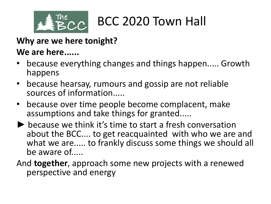

### **Why are we here tonight?**

### **We are here......**

- because everything changes and things happen..... Growth happens
- because hearsay, rumours and gossip are not reliable sources of information.....
- because over time people become complacent, make assumptions and take things for granted.....
- ▶ because we think it's time to start a fresh conversation about the BCC.... to get reacquainted with who we are and what we are..... to frankly discuss some things we should all be aware of.....
- And **together**, approach some new projects with a renewed perspective and energy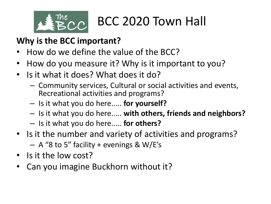

### **Why is the BCC important?**

- How do we define the value of the BCC?
- How do you measure it? Why is it important to you?
- Is it what it does? What does it do?
	- Community services, Cultural or social activities and events, Recreational activities and programs?
	- Is it what you do here..... **for yourself?**
	- Is it what you do here..... **with others, friends and neighbors?**
	- Is it what you do here..... **for others?**
- Is it the number and variety of activities and programs?  $-$  A "8 to 5" facility + evenings & W/E's
- Is it the low cost?
- Can you imagine Buckhorn without it?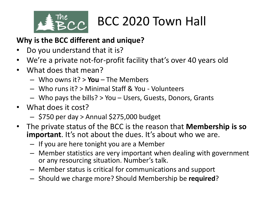

#### **Why is the BCC different and unique?**

- Do you understand that it is?
- We're a private not-for-profit facility that's over 40 years old
- What does that mean?
	- Who owns it? > **You** The Members
	- Who runs it? > Minimal Staff & You Volunteers
	- Who pays the bills? > You Users, Guests, Donors, Grants
- What does it cost?
	- \$750 per day > Annual \$275,000 budget
- The private status of the BCC is the reason that **Membership is so important**. It's not about the dues. It's about who we are.
	- If you are here tonight you are a Member
	- Member statistics are very important when dealing with government or any resourcing situation. Number's talk.
	- Member status is critical for communications and support
	- Should we charge more? Should Membership be **required**?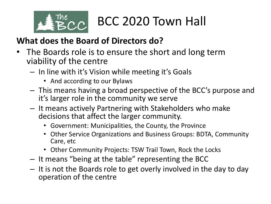

### **What does the Board of Directors do?**

- The Boards role is to ensure the short and long term viability of the centre
	- In line with it's Vision while meeting it's Goals
		- And according to our Bylaws
	- This means having a broad perspective of the BCC's purpose and it's larger role in the community we serve
	- It means actively Partnering with Stakeholders who make decisions that affect the larger community.
		- Government: Municipalities, the County, the Province
		- Other Service Organizations and Business Groups: BDTA, Community Care, etc
		- Other Community Projects: TSW Trail Town, Rock the Locks
	- It means "being at the table" representing the BCC
	- It is not the Boards role to get overly involved in the day to day operation of the centre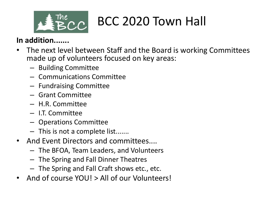

#### **In addition.......**

- The next level between Staff and the Board is working Committees made up of volunteers focused on key areas:
	- Building Committee
	- Communications Committee
	- Fundraising Committee
	- Grant Committee
	- H.R. Committee
	- I.T. Committee
	- Operations Committee
	- This is not a complete list.......
- And Event Directors and committees....
	- The BFOA, Team Leaders, and Volunteers
	- The Spring and Fall Dinner Theatres
	- The Spring and Fall Craft shows etc., etc.
- And of course YOU! > All of our Volunteers!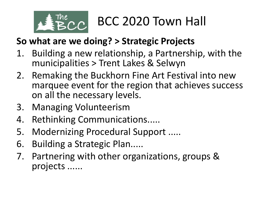

### **So what are we doing? > Strategic Projects**

- 1. Building a new relationship, a Partnership, with the municipalities > Trent Lakes & Selwyn
- 2. Remaking the Buckhorn Fine Art Festival into new marquee event for the region that achieves success on all the necessary levels.
- 3. Managing Volunteerism
- 4. Rethinking Communications.....
- 5. Modernizing Procedural Support .....
- 6. Building a Strategic Plan.....
- 7. Partnering with other organizations, groups & projects ......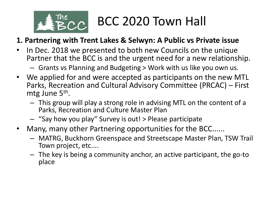

#### **1. Partnering with Trent Lakes & Selwyn: A Public vs Private issue**

- In Dec. 2018 we presented to both new Councils on the unique Partner that the BCC is and the urgent need for a new relationship.
	- Grants vs Planning and Budgeting > Work with us like you own us.
- We applied for and were accepted as participants on the new MTL Parks, Recreation and Cultural Advisory Committee (PRCAC) – First mtg June 5<sup>th</sup>.
	- This group will play a strong role in advising MTL on the content of a Parks, Recreation and Culture Master Plan
	- "Say how you play" Survey is out! > Please participate
- Many, many other Partnering opportunities for the BCC......
	- MATRG, Buckhorn Greenspace and Streetscape Master Plan, TSW Trail Town project, etc....
	- The key is being a community anchor, an active participant, the go-to place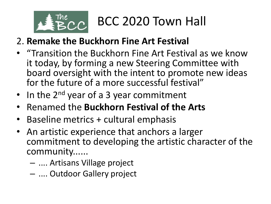

### 2. **Remake the Buckhorn Fine Art Festival**

- "Transition the Buckhorn Fine Art Festival as we know it today, by forming a new Steering Committee with board oversight with the intent to promote new ideas for the future of a more successful festival"
- In the  $2^{nd}$  year of a 3 year commitment
- Renamed the **Buckhorn Festival of the Arts**
- Baseline metrics + cultural emphasis
- An artistic experience that anchors a larger commitment to developing the artistic character of the community......
	- .... Artisans Village project
	- .... Outdoor Gallery project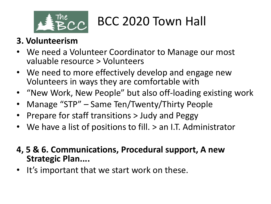

### **3. Volunteerism**

- We need a Volunteer Coordinator to Manage our most valuable resource > Volunteers
- We need to more effectively develop and engage new Volunteers in ways they are comfortable with
- "New Work, New People" but also off-loading existing work
- Manage "STP" Same Ten/Twenty/Thirty People
- Prepare for staff transitions > Judy and Peggy
- We have a list of positions to fill. > an I.T. Administrator
- **4, 5 & 6. Communications, Procedural support, A new Strategic Plan....**
- It's important that we start work on these.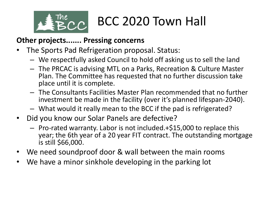

#### **Other projects....... Pressing concerns**

- The Sports Pad Refrigeration proposal. Status:
	- We respectfully asked Council to hold off asking us to sell the land
	- The PRCAC is advising MTL on a Parks, Recreation & Culture Master Plan. The Committee has requested that no further discussion take place until it is complete.
	- The Consultants Facilities Master Plan recommended that no further investment be made in the facility (over it's planned lifespan-2040).
	- What would it really mean to the BCC if the pad is refrigerated?
- Did you know our Solar Panels are defective?
	- Pro-rated warranty. Labor is not included.+\$15,000 to replace this year; the 6th year of a 20 year FIT contract. The outstanding mortgage is still \$66,000.
- We need soundproof door & wall between the main rooms
- We have a minor sinkhole developing in the parking lot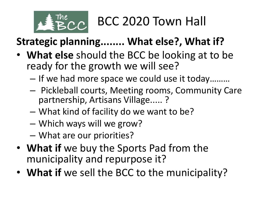

### **Strategic planning........ What else?, What if?**

- **What else** should the BCC be looking at to be ready for the growth we will see?
	- If we had more space we could use it today………
	- Pickleball courts, Meeting rooms, Community Care partnership, Artisans Village..... ?
	- What kind of facility do we want to be?
	- Which ways will we grow?
	- What are our priorities?
- **What if** we buy the Sports Pad from the municipality and repurpose it?
- **What if** we sell the BCC to the municipality?